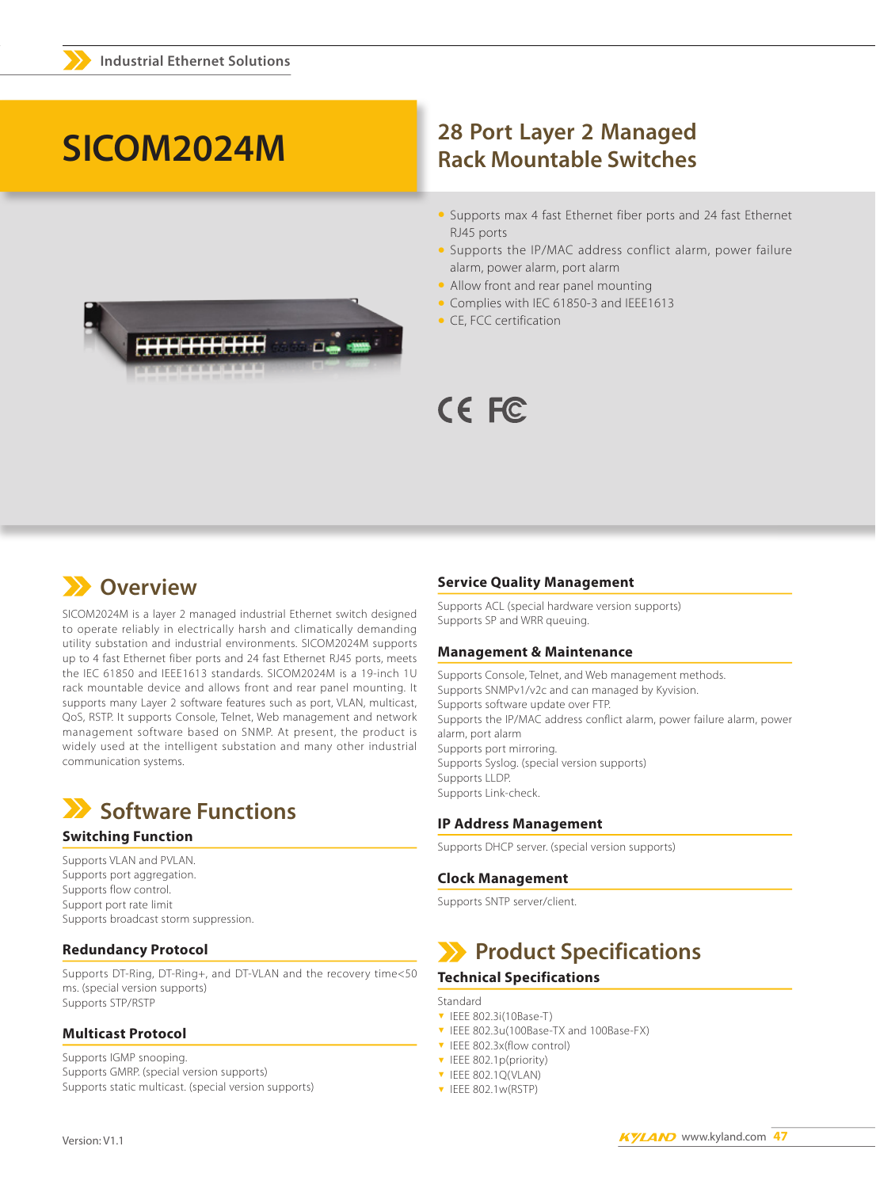# SICOM2024M



# **28 Port Layer 2 Managed Rack Mountable Switches**

- Supports max 4 fast Ethernet fiber ports and 24 fast Ethernet RJ45 ports
- Supports the IP/MAC address conflict alarm, power failure alarm, power alarm, port alarm
- Allow front and rear panel mounting
- Complies with IEC 61850-3 and IEEE1613
- CE, FCC certification



# **X** Overview

SICOM2024M is a layer 2 managed industrial Ethernet switch designed to operate reliably in electrically harsh and climatically demanding utility substation and industrial environments. SICOM2024M supports up to 4 fast Ethernet fiber ports and 24 fast Ethernet RJ45 ports, meets the IEC 61850 and IEEE1613 standards. SICOM2024M is a 19-inch 1U rack mountable device and allows front and rear panel mounting. It supports many Layer 2 software features such as port, VLAN, multicast, QoS, RSTP. It supports Console, Telnet, Web management and network management software based on SNMP. At present, the product is widely used at the intelligent substation and many other industrial communication systems.



# **Switching Function**

Supports VLAN and PVLAN. Supports port aggregation. Supports flow control. Support port rate limit Supports broadcast storm suppression.

# **Redundancy Protocol**

Supports DT-Ring, DT-Ring+, and DT-VLAN and the recovery time<50 ms. (special version supports) Supports STP/RSTP

# **Multicast Protocol**

Supports IGMP snooping. Supports GMRP. (special version supports) Supports static multicast. (special version supports)

### **Service Quality Management**

Supports ACL (special hardware version supports) Supports SP and WRR queuing.

### **Management & Maintenance**

Supports Console, Telnet, and Web management methods. Supports SNMPv1/v2c and can managed by Kyvision. Supports software update over FTP. Supports the IP/MAC address conflict alarm, power failure alarm, power alarm, port alarm Supports port mirroring. Supports Syslog. (special version supports) Supports LLDP. Supports Link-check.

# **IP Address Management**

Supports DHCP server. (special version supports)

# **Clock Management**

Supports SNTP server/client.

# Product Specifications

# **Technical Specifications**

Standard

- ▼ IEEE 802.3i(10Base-T)
- T IEEE 802.3u(100Base-TX and 100Base-FX)
- ▼ IEEE 802.3x(flow control)
- ▼ IEEE 802.1p(priority)
- **v** IEEE 802.1Q(VLAN)
- $\blacktriangledown$  IEEE 802.1w(RSTP)

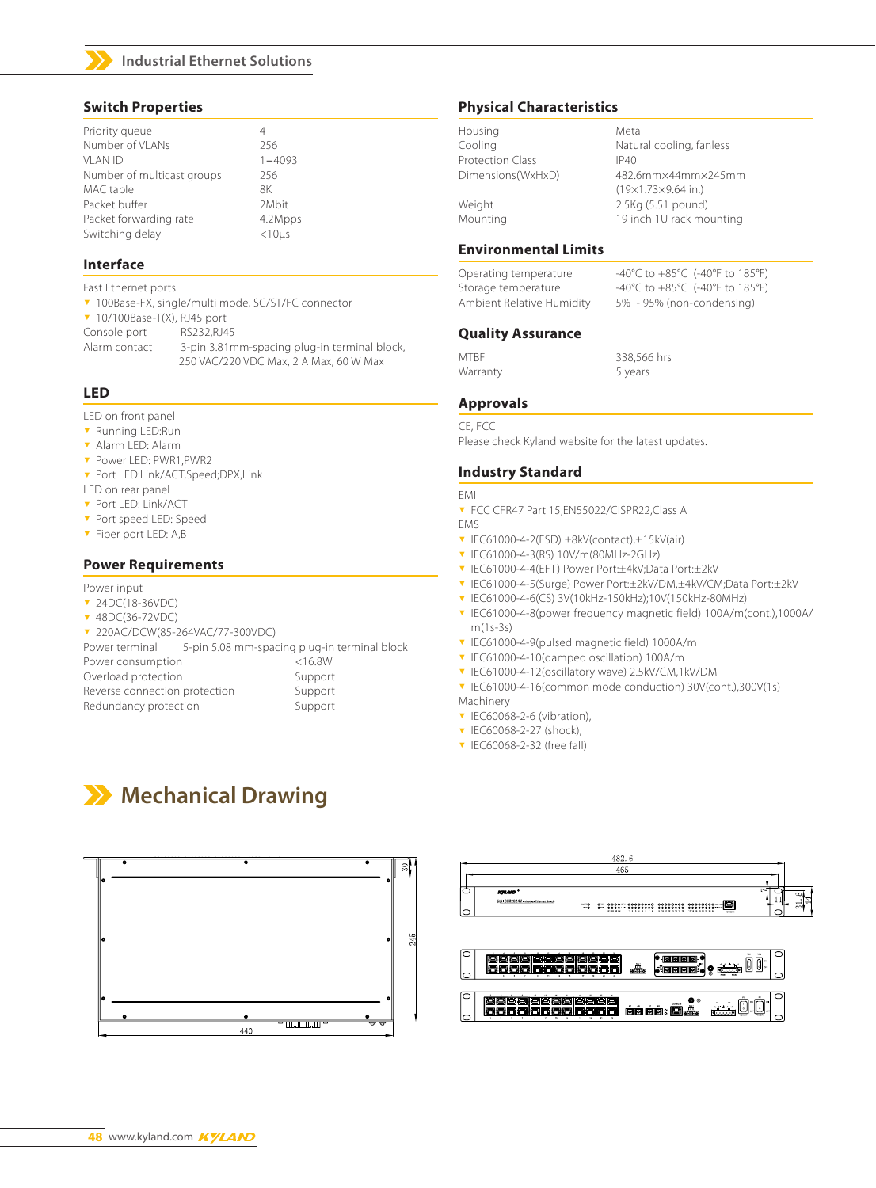

### **Industrial Ethernet Solutions**

# **Switch Properties**

| Priority queue             | 4              |
|----------------------------|----------------|
| Number of VI ANs           | 256            |
| VI AN ID                   | $1 - 4093$     |
| Number of multicast groups | 256            |
| MAC table                  | 8K             |
| Packet buffer              | 2Mbit          |
| Packet forwarding rate     | 4.2Mpps        |
| Switching delay            | $<$ 10 $\mu$ s |
|                            |                |

### **Interface**

- Fast Ethernet ports
- v 100Base-FX, single/multi mode, SC/ST/FC connector

 $\blacktriangledown$  10/100Base-T(X), RJ45 port

Console port RS232, RJ45

Alarm contact 3-pin 3.81mm-spacing plug-in terminal block, 250 VAC/220 VDC Max, 2 A Max, 60 W Max

# **LED**

#### LED on front panel

- **v** Running LED:Run
- <sup>ź</sup> Alarm LED: Alarm
- <sup>ź</sup> Power LED: PWR1,PWR2
- <sup>ź</sup> Port LED:Link/ACT,Speed;DPX,Link
- LED on rear panel
- <sup>ź</sup> Port LED: Link/ACT
- **v** Port speed LED: Speed
- **v** Fiber port LED: A,B

# **Power Requirements**

#### Power input

- **v** 24DC(18-36VDC)
- ▼ 48DC(36-72VDC)
- <sup>ź</sup> 220AC/DCW(85-264VAC/77-300VDC)

Power terminal 5-pin 5.08 mm-spacing plug-in terminal block Power consumption <16.8W

| Overload protection           | Support |
|-------------------------------|---------|
| Reverse connection protection | Support |
| Redundancy protection         | Support |

# **Mechanical Drawing**



# **Physical Characteristics**

| Housing                 | Metal                                                |
|-------------------------|------------------------------------------------------|
| Cooling                 | Natural cooling, fanless                             |
| <b>Protection Class</b> | IP40                                                 |
| Dimensions(WxHxD)       | 482.6mm×44mm×245mm<br>$(19\times1.73\times9.64$ in.) |
| Weight<br>Mounting      | 2.5Kg (5.51 pound)<br>19 inch 1U rack mounting       |
|                         |                                                      |

# **Environmental Limits**

| Operating temperature     | -40°C to $+85^{\circ}$ C (-40°F to 185°F) |
|---------------------------|-------------------------------------------|
| Storage temperature       | -40°C to $+85^{\circ}$ C (-40°F to 185°F) |
| Ambient Relative Humidity | 5% - 95% (non-condensing)                 |

### **Quality Assurance**

MTBF 338,566 hrs Warranty 5 years

# **Approvals**

### CE, FCC

Please check Kyland website for the latest updates.

# **Industry Standard**

#### EMI

- **v** FCC CFR47 Part 15, EN55022/CISPR22, Class A EMS
- $\overline{v}$  IEC61000-4-2(ESD)  $\pm$ 8kV(contact), $\pm$ 15kV(air)
- <sup>ź</sup> IEC61000-4-3(RS) 10V/m(80MHz-2GHz)
- <sup>ź</sup> IEC61000-4-4(EFT) Power Port:±4kV;Data Port:±2kV
- <sup>ź</sup> IEC61000-4-5(Surge) Power Port:±2kV/DM,±4kV/CM;Data Port:±2kV
- <sup>ź</sup> IEC61000-4-6(CS) 3V(10kHz-150kHz);10V(150kHz-80MHz)
- <sup>ź</sup> IEC61000-4-8(power frequency magnetic field) 100A/m(cont.),1000A/ m(1s-3s)
- <sup>ź</sup> IEC61000-4-9(pulsed magnetic field) 1000A/m
- <sup>ź</sup> IEC61000-4-10(damped oscillation) 100A/m
- <sup>ź</sup> IEC61000-4-12(oscillatory wave) 2.5kV/CM,1kV/DM
- <sup>ź</sup> IEC61000-4-16(common mode conduction) 30V(cont.),300V(1s)
- Machinery
- $\blacktriangledown$  IEC60068-2-6 (vibration),
- **v** IEC60068-2-27 (shock),
- $\blacktriangledown$  IEC60068-2-32 (free fall)